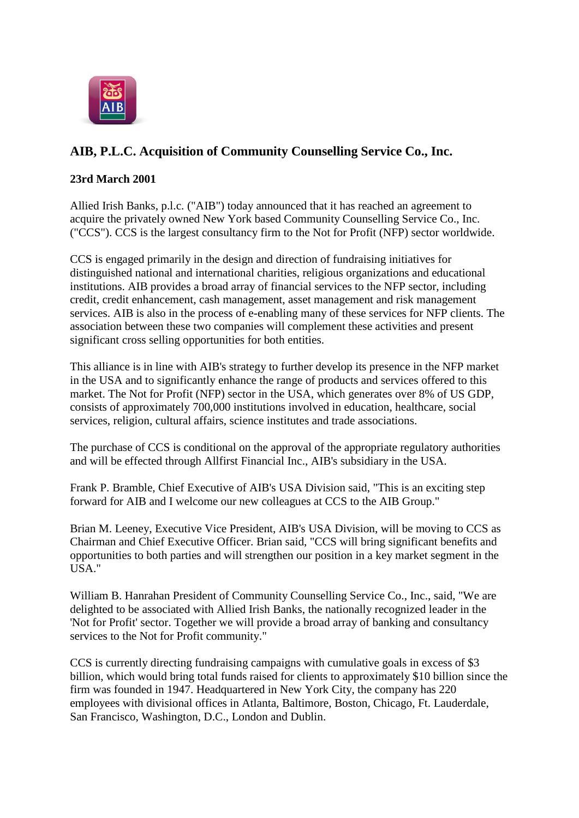

## **AIB, P.L.C. Acquisition of Community Counselling Service Co., Inc.**

## **23rd March 2001**

Allied Irish Banks, p.l.c. ("AIB") today announced that it has reached an agreement to acquire the privately owned New York based Community Counselling Service Co., Inc. ("CCS"). CCS is the largest consultancy firm to the Not for Profit (NFP) sector worldwide.

CCS is engaged primarily in the design and direction of fundraising initiatives for distinguished national and international charities, religious organizations and educational institutions. AIB provides a broad array of financial services to the NFP sector, including credit, credit enhancement, cash management, asset management and risk management services. AIB is also in the process of e-enabling many of these services for NFP clients. The association between these two companies will complement these activities and present significant cross selling opportunities for both entities.

This alliance is in line with AIB's strategy to further develop its presence in the NFP market in the USA and to significantly enhance the range of products and services offered to this market. The Not for Profit (NFP) sector in the USA, which generates over 8% of US GDP, consists of approximately 700,000 institutions involved in education, healthcare, social services, religion, cultural affairs, science institutes and trade associations.

The purchase of CCS is conditional on the approval of the appropriate regulatory authorities and will be effected through Allfirst Financial Inc., AIB's subsidiary in the USA.

Frank P. Bramble, Chief Executive of AIB's USA Division said, "This is an exciting step forward for AIB and I welcome our new colleagues at CCS to the AIB Group."

Brian M. Leeney, Executive Vice President, AIB's USA Division, will be moving to CCS as Chairman and Chief Executive Officer. Brian said, "CCS will bring significant benefits and opportunities to both parties and will strengthen our position in a key market segment in the USA."

William B. Hanrahan President of Community Counselling Service Co., Inc., said, "We are delighted to be associated with Allied Irish Banks, the nationally recognized leader in the 'Not for Profit' sector. Together we will provide a broad array of banking and consultancy services to the Not for Profit community."

CCS is currently directing fundraising campaigns with cumulative goals in excess of \$3 billion, which would bring total funds raised for clients to approximately \$10 billion since the firm was founded in 1947. Headquartered in New York City, the company has 220 employees with divisional offices in Atlanta, Baltimore, Boston, Chicago, Ft. Lauderdale, San Francisco, Washington, D.C., London and Dublin.